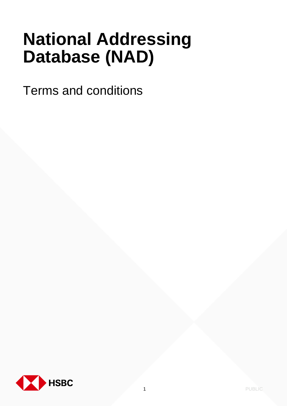# **National Addressing Database (NAD)**

Terms and conditions

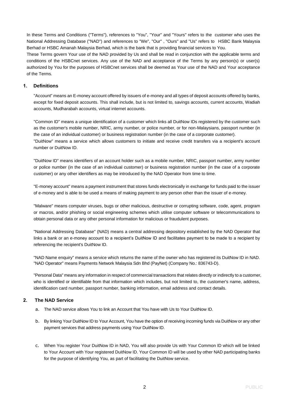In these Terms and Conditions ("Terms"), references to "You", "Your" and "Yours" refers to the customer who uses the National Addressing Database ("NAD") and references to "We", "Our" , "Ours" and "Us" refers to HSBC Bank Malaysia Berhad or HSBC Amanah Malaysia Berhad, which is the bank that is providing financial services to You.

These Terms govern Your use of the NAD provided by Us and shall be read in conjunction with the applicable terms and conditions of the HSBCnet services. Any use of the NAD and acceptance of the Terms by any person(s) or user(s) authorized by You for the purposes of HSBCnet services shall be deemed as Your use of the NAD and Your acceptance of the Terms.

## **1. Definitions**

"Account" means an E-money account offered by issuers of e-money and all types of deposit accounts offered by banks, except for fixed deposit accounts. This shall include, but is not limited to, savings accounts, current accounts, Wadiah accounts, Mudharabah accounts, virtual internet accounts.

"Common ID" means a unique identification of a customer which links all DuitNow IDs registered by the customer such as the customer's mobile number, NRIC, army number, or police number, or for non-Malaysians, passport number (in the case of an individual customer) or business registration number (in the case of a corporate customer). "DuitNow" means a service which allows customers to initiate and receive credit transfers via a recipient's account number or DuitNow ID.

"DuitNow ID" means identifiers of an account holder such as a mobile number, NRIC, passport number, army number or police number (in the case of an individual customer) or business registration number (in the case of a corporate customer) or any other identifiers as may be introduced by the NAD Operator from time to time.

"E-money account" means a payment instrument that stores funds electronically in exchange for funds paid to the issuer of e-money and is able to be used a means of making payment to any person other than the issuer of e-money.

"Malware" means computer viruses, bugs or other malicious, destructive or corrupting software, code, agent, program or macros, and/or phishing or social engineering schemes which utilise computer software or telecommunications to obtain personal data or any other personal information for malicious or fraudulent purposes.

"National Addressing Database" (NAD) means a central addressing depository established by the NAD Operator that links a bank or an e-money account to a recipient's DuitNow ID and facilitates payment to be made to a recipient by referencing the recipient's DuitNow ID.

"NAD Name enquiry" means a service which returns the name of the owner who has registered its DuitNow ID in NAD. "NAD Operator" means Payments Network Malaysia Sdn Bhd (PayNet) (Company No.: 836743-D).

"Personal Data" means any information in respect of commercial transactions that relates directly or indirectly to a customer, who is identified or identifiable from that information which includes, but not limited to, the customer's name, address, identification card number, passport number, banking information, email address and contact details.

#### **2. The NAD Service**

- a. The NAD service allows You to link an Account that You have with Us to Your DuitNow ID.
- b. By linking Your DuitNow ID to Your Account, You have the option of receiving incoming funds via DuitNow or any other payment services that address payments using Your DuitNow ID.
- c. When You register Your DuitNow ID in NAD, You will also provide Us with Your Common ID which will be linked to Your Account with Your registered DuitNow ID. Your Common ID will be used by other NAD participating banks for the purpose of identifying You, as part of facilitating the DuitNow service.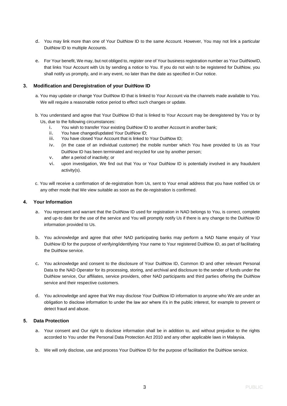- d. You may link more than one of Your DuitNow ID to the same Account. However, You may not link a particular DuitNow ID to multiple Accounts.
- e. For Your benefit, We may, but not obliged to, register one of Your business registration number as Your DuitNowID, that links Your Account with Us by sending a notice to You. If you do not wish to be registered for DuitNow, you shall notify us promptly, and in any event, no later than the date as specified in Our notice.

## **3. Modification and Deregistration of your DuitNow ID**

- a. You may update or change Your DuitNow ID that is linked to Your Account via the channels made available to You. We will require a reasonable notice period to effect such changes or update.
- b. You understand and agree that Your DuitNow ID that is linked to Your Account may be deregistered by You or by Us, due to the following circumstances:
	- i. You wish to transfer Your existing DuitNow ID to another Account in another bank;
	- ii. You have changed/updated Your DuitNow ID;
	- iii. You have closed Your Account that is linked to Your DuitNow ID;
	- iv. (in the case of an individual customer) the mobile number which You have provided to Us as Your DuitNow ID has been terminated and recycled for use by another person;
	- v. after a period of inactivity; or
	- vi. upon investigation, We find out that You or Your DuitNow ID is potentially involved in any fraudulent activity(s).
- c. You will receive a confirmation of de-registration from Us, sent to Your email address that you have notified Us or any other mode that We view suitable as soon as the de-registration is confirmed.

## **4. Your Information**

- a. You represent and warrant that the DuitNow ID used for registration in NAD belongs to You, is correct, complete and up-to date for the use of the service and You will promptly notify Us if there is any change to the DuitNow ID information provided to Us.
- b. You acknowledge and agree that other NAD participating banks may perform a NAD Name enquiry of Your DuitNow ID for the purpose of verifying/identifying Your name to Your registered DuitNow ID, as part of facilitating the DuitNow service.
- c. You acknowledge and consent to the disclosure of Your DuitNow ID, Common ID and other relevant Personal Data to the NAD Operator for its processing, storing, and archival and disclosure to the sender of funds under the DuitNow service, Our affiliates, service providers, other NAD participants and third parties offering the DuitNow service and their respective customers.
- d. You acknowledge and agree that We may disclose Your DuitNow ID information to anyone who We are under an obligation to disclose information to under the law aor where it's in the public interest, for example to prevent or detect fraud and abuse.

#### **5. Data Protection**

- a. Your consent and Our right to disclose information shall be in addition to, and without prejudice to the rights accorded to You under the Personal Data Protection Act 2010 and any other applicable laws in Malaysia.
- b. We will only disclose, use and process Your DuitNow ID for the purpose of facilitation the DuitNow service.